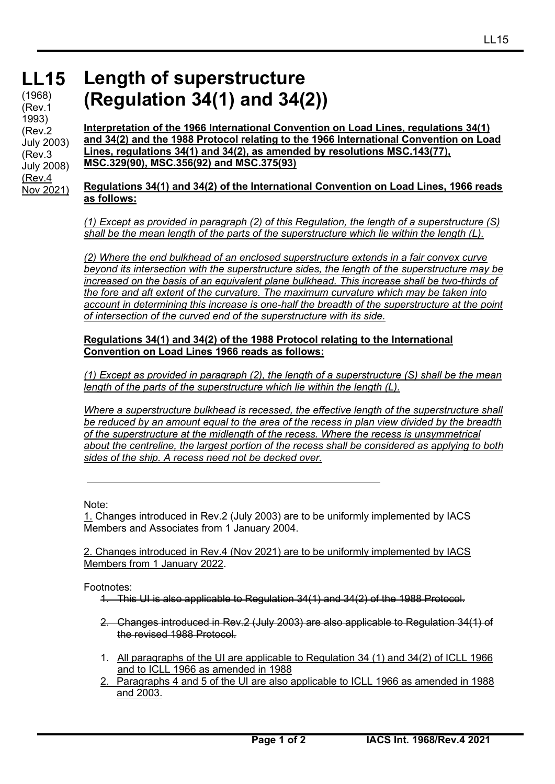#### **LL15** (1968) (Rev.1 1993) (Rev.2 July 2003) (Rev.3 July 2008) (Rev.4 Nov 2021)

# **Length of superstructure (Regulation 34(1) and 34(2))**

**Interpretation of the 1966 International Convention on Load Lines, regulations 34(1) and 34(2) and the 1988 Protocol relating to the 1966 International Convention on Load Lines, regulations 34(1) and 34(2), as amended by resolutions MSC.143(77), MSC.329(90), MSC.356(92) and MSC.375(93)**

## **Regulations 34(1) and 34(2) of the International Convention on Load Lines, 1966 reads as follows:**

*(1) Except as provided in paragraph (2) of this Regulation, the length of a superstructure (S) shall be the mean length of the parts of the superstructure which lie within the length (L).* 

*(2) Where the end bulkhead of an enclosed superstructure extends in a fair convex curve beyond its intersection with the superstructure sides, the length of the superstructure may be increased on the basis of an equivalent plane bulkhead. This increase shall be two-thirds of the fore and aft extent of the curvature. The maximum curvature which may be taken into account in determining this increase is one-half the breadth of the superstructure at the point of intersection of the curved end of the superstructure with its side.* 

### **Regulations 34(1) and 34(2) of the 1988 Protocol relating to the International Convention on Load Lines 1966 reads as follows:**

*(1) Except as provided in paragraph (2), the length of a superstructure (S) shall be the mean length of the parts of the superstructure which lie within the length (L).* 

*Where a superstructure bulkhead is recessed, the effective length of the superstructure shall be reduced by an amount equal to the area of the recess in plan view divided by the breadth of the superstructure at the midlength of the recess. Where the recess is unsymmetrical about the centreline, the largest portion of the recess shall be considered as applying to both sides of the ship. A recess need not be decked over.* 

Note:

1. Changes introduced in Rev.2 (July 2003) are to be uniformly implemented by IACS Members and Associates from 1 January 2004.

#### 2. Changes introduced in Rev.4 (Nov 2021) are to be uniformly implemented by IACS Members from 1 January 2022.

Footnotes:

- 1. This UI is also applicable to Regulation 34(1) and 34(2) of the 1988 Protocol.
- 2. Changes introduced in Rev.2 (July 2003) are also applicable to Regulation 34(1) of the revised 1988 Protocol.
- 1. All paragraphs of the UI are applicable to Regulation 34 (1) and 34(2) of ICLL 1966 and to ICLL 1966 as amended in 1988
- 2. Paragraphs 4 and 5 of the UI are also applicable to ICLL 1966 as amended in 1988 and 2003.